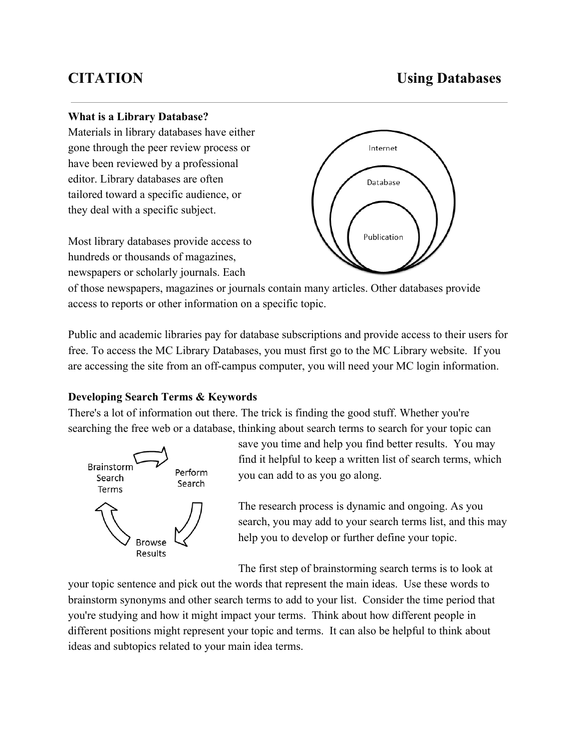# **CITATION Using Databases**

#### **What is a Library Database?**

Materials in library databases have either gone through the peer review process or have been reviewed by a professional editor. Library databases are often tailored toward a specific audience, or they deal with a specific subject.

Most library databases provide access to hundreds or thousands of magazines, newspapers or scholarly journals. Each



of those newspapers, magazines or journals contain many articles. Other databases provide access to reports or other information on a specific topic.

Public and academic libraries pay for database subscriptions and provide access to their users for free. To access the MC Library Databases, you must first go to the MC Library website. If you are accessing the site from an off-campus computer, you will need your MC login information.

### **Developing Search Terms & Keywords**

There's a lot of information out there. The trick is finding the good stuff. Whether you're searching the free web or a database, thinking about search terms to search for your topic can



save you time and help you find better results. You may find it helpful to keep a written list of search terms, which you can add to as you go along.

The research process is dynamic and ongoing. As you search, you may add to your search terms list, and this may help you to develop or further define your topic.

The first step of brainstorming search terms is to look at

your topic sentence and pick out the words that represent the main ideas. Use these words to brainstorm synonyms and other search terms to add to your list. Consider the time period that you're studying and how it might impact your terms. Think about how different people in different positions might represent your topic and terms. It can also be helpful to think about ideas and subtopics related to your main idea terms.